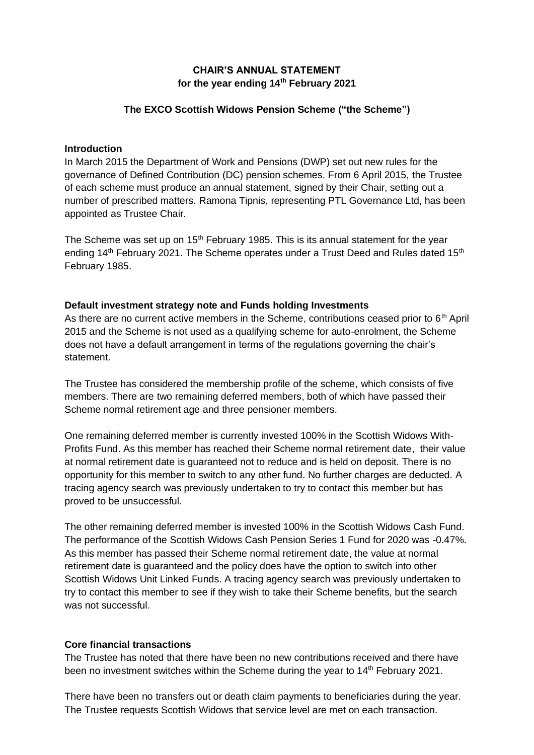# **CHAIR'S ANNUAL STATEMENT for the year ending 14th February 2021**

### **The EXCO Scottish Widows Pension Scheme ("the Scheme")**

#### **Introduction**

In March 2015 the Department of Work and Pensions (DWP) set out new rules for the governance of Defined Contribution (DC) pension schemes. From 6 April 2015, the Trustee of each scheme must produce an annual statement, signed by their Chair, setting out a number of prescribed matters. Ramona Tipnis, representing PTL Governance Ltd, has been appointed as Trustee Chair.

The Scheme was set up on  $15<sup>th</sup>$  February 1985. This is its annual statement for the year ending 14<sup>th</sup> February 2021. The Scheme operates under a Trust Deed and Rules dated 15<sup>th</sup> February 1985.

#### **Default investment strategy note and Funds holding Investments**

As there are no current active members in the Scheme, contributions ceased prior to  $6<sup>th</sup>$  April 2015 and the Scheme is not used as a qualifying scheme for auto-enrolment, the Scheme does not have a default arrangement in terms of the regulations governing the chair's statement.

The Trustee has considered the membership profile of the scheme, which consists of five members. There are two remaining deferred members, both of which have passed their Scheme normal retirement age and three pensioner members.

One remaining deferred member is currently invested 100% in the Scottish Widows With-Profits Fund. As this member has reached their Scheme normal retirement date, their value at normal retirement date is guaranteed not to reduce and is held on deposit. There is no opportunity for this member to switch to any other fund. No further charges are deducted. A tracing agency search was previously undertaken to try to contact this member but has proved to be unsuccessful.

The other remaining deferred member is invested 100% in the Scottish Widows Cash Fund. The performance of the Scottish Widows Cash Pension Series 1 Fund for 2020 was -0.47%. As this member has passed their Scheme normal retirement date, the value at normal retirement date is guaranteed and the policy does have the option to switch into other Scottish Widows Unit Linked Funds. A tracing agency search was previously undertaken to try to contact this member to see if they wish to take their Scheme benefits, but the search was not successful.

### **Core financial transactions**

The Trustee has noted that there have been no new contributions received and there have been no investment switches within the Scheme during the year to 14<sup>th</sup> February 2021.

There have been no transfers out or death claim payments to beneficiaries during the year. The Trustee requests Scottish Widows that service level are met on each transaction.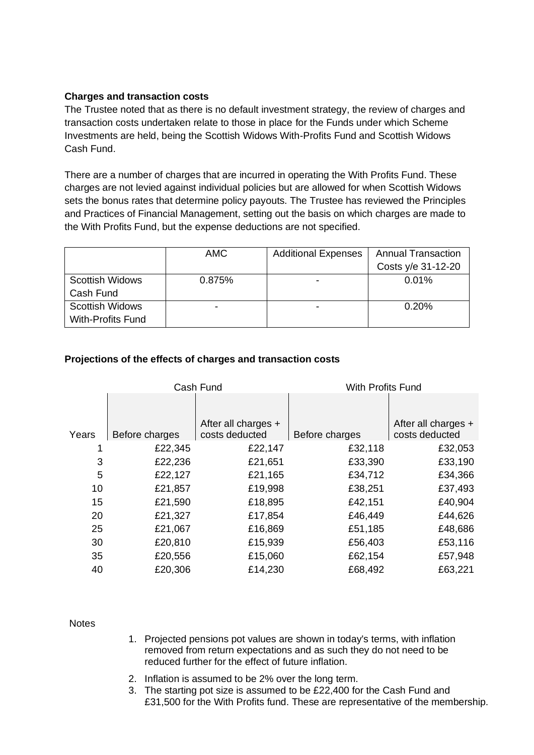# **Charges and transaction costs**

The Trustee noted that as there is no default investment strategy, the review of charges and transaction costs undertaken relate to those in place for the Funds under which Scheme Investments are held, being the Scottish Widows With-Profits Fund and Scottish Widows Cash Fund.

There are a number of charges that are incurred in operating the With Profits Fund. These charges are not levied against individual policies but are allowed for when Scottish Widows sets the bonus rates that determine policy payouts. The Trustee has reviewed the Principles and Practices of Financial Management, setting out the basis on which charges are made to the With Profits Fund, but the expense deductions are not specified.

|                          | <b>AMC</b> | <b>Additional Expenses</b> | <b>Annual Transaction</b> |
|--------------------------|------------|----------------------------|---------------------------|
|                          |            |                            | Costs y/e 31-12-20        |
| <b>Scottish Widows</b>   | 0.875%     |                            | $0.01\%$                  |
| Cash Fund                |            |                            |                           |
| <b>Scottish Widows</b>   |            |                            | 0.20%                     |
| <b>With-Profits Fund</b> |            |                            |                           |

# **Projections of the effects of charges and transaction costs**

|       | Cash Fund      |                                       | With Profits Fund |                                       |
|-------|----------------|---------------------------------------|-------------------|---------------------------------------|
| Years | Before charges | After all charges +<br>costs deducted | Before charges    | After all charges +<br>costs deducted |
|       | £22,345        | £22,147                               | £32,118           | £32,053                               |
| 3     | £22,236        | £21,651                               | £33,390           | £33,190                               |
| 5     | £22,127        | £21,165                               | £34,712           | £34,366                               |
| 10    | £21,857        | £19,998                               | £38,251           | £37,493                               |
| 15    | £21,590        | £18,895                               | £42,151           | £40,904                               |
| 20    | £21,327        | £17,854                               | £46,449           | £44,626                               |
| 25    | £21,067        | £16,869                               | £51,185           | £48,686                               |
| 30    | £20,810        | £15,939                               | £56,403           | £53,116                               |
| 35    | £20,556        | £15,060                               | £62,154           | £57,948                               |
| 40    | £20,306        | £14,230                               | £68,492           | £63,221                               |
|       |                |                                       |                   |                                       |

**Notes** 

- 1. Projected pensions pot values are shown in today's terms, with inflation removed from return expectations and as such they do not need to be reduced further for the effect of future inflation.
- 2. Inflation is assumed to be 2% over the long term.
- 3. The starting pot size is assumed to be £22,400 for the Cash Fund and £31,500 for the With Profits fund. These are representative of the membership.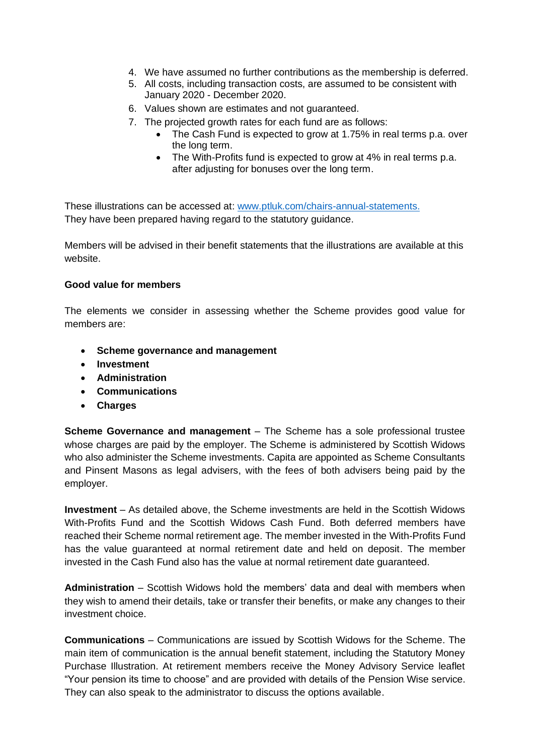- 4. We have assumed no further contributions as the membership is deferred.
- 5. All costs, including transaction costs, are assumed to be consistent with January 2020 - December 2020.
- 6. Values shown are estimates and not guaranteed.
- 7. The projected growth rates for each fund are as follows:
	- The Cash Fund is expected to grow at 1.75% in real terms p.a. over the long term.
	- The With-Profits fund is expected to grow at 4% in real terms p.a. after adjusting for bonuses over the long term.

These illustrations can be accessed at: [www.ptluk.com/chairs-annual-statements.](http://www.ptluk.com/chairs-annual-statements) They have been prepared having regard to the statutory guidance.

Members will be advised in their benefit statements that the illustrations are available at this website.

#### **Good value for members**

The elements we consider in assessing whether the Scheme provides good value for members are:

- **Scheme governance and management**
- **Investment**
- **Administration**
- **Communications**
- **Charges**

**Scheme Governance and management** – The Scheme has a sole professional trustee whose charges are paid by the employer. The Scheme is administered by Scottish Widows who also administer the Scheme investments. Capita are appointed as Scheme Consultants and Pinsent Masons as legal advisers, with the fees of both advisers being paid by the employer.

**Investment** – As detailed above, the Scheme investments are held in the Scottish Widows With-Profits Fund and the Scottish Widows Cash Fund. Both deferred members have reached their Scheme normal retirement age. The member invested in the With-Profits Fund has the value guaranteed at normal retirement date and held on deposit. The member invested in the Cash Fund also has the value at normal retirement date guaranteed.

**Administration** – Scottish Widows hold the members' data and deal with members when they wish to amend their details, take or transfer their benefits, or make any changes to their investment choice.

**Communications** – Communications are issued by Scottish Widows for the Scheme. The main item of communication is the annual benefit statement, including the Statutory Money Purchase Illustration. At retirement members receive the Money Advisory Service leaflet "Your pension its time to choose" and are provided with details of the Pension Wise service. They can also speak to the administrator to discuss the options available.